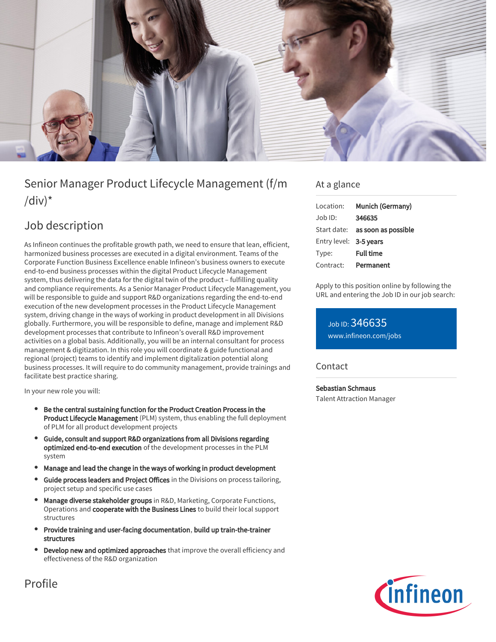

# Senior Manager Product Lifecycle Management (f/m  $\frac{1}{d}$

## Job description

As Infineon continues the profitable growth path, we need to ensure that lean, efficient, harmonized business processes are executed in a digital environment. Teams of the Corporate Function Business Excellence enable Infineon's business owners to execute end-to-end business processes within the digital Product Lifecycle Management system, thus delivering the data for the digital twin of the product – fulfilling quality and compliance requirements. As a Senior Manager Product Lifecycle Management, you will be responsible to guide and support R&D organizations regarding the end-to-end execution of the new development processes in the Product Lifecycle Management system, driving change in the ways of working in product development in all Divisions globally. Furthermore, you will be responsible to define, manage and implement R&D development processes that contribute to Infineon's overall R&D improvement activities on a global basis. Additionally, you will be an internal consultant for process management & digitization. In this role you will coordinate & guide functional and regional (project) teams to identify and implement digitalization potential along business processes. It will require to do community management, provide trainings and facilitate best practice sharing.

In your new role you will:

- Be the central sustaining function for the Product Creation Process in the Product Lifecycle Management (PLM) system, thus enabling the full deployment of PLM for all product development projects
- Guide, consult and support R&D organizations from all Divisions regarding optimized end-to-end execution of the development processes in the PLM system
- Manage and lead the change in the ways of working in product development
- Guide process leaders and Project Offices in the Divisions on process tailoring, project setup and specific use cases
- Manage diverse stakeholder groups in R&D, Marketing, Corporate Functions, Operations and cooperate with the Business Lines to build their local support structures
- Provide training and user-facing documentation, build up train-the-trainer structures
- Develop new and optimized approaches that improve the overall efficiency and effectiveness of the R&D organization

### At a glance

| Location:              | Munich (Germany)                       |
|------------------------|----------------------------------------|
| $Job$ ID:              | 346635                                 |
|                        | Start date: <b>as soon as possible</b> |
| Entry level: 3-5 years |                                        |
| Type:                  | <b>Full time</b>                       |
| Contract:              | Permanent                              |

Apply to this position online by following the URL and entering the Job ID in our job search:

Job ID: 346635 [www.infineon.com/jobs](https://www.infineon.com/jobs)

#### **Contact**

#### Sebastian Schmaus

Talent Attraction Manager



Profile